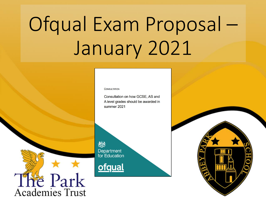# Ofqual Exam Proposal -January 2021

**CONSULTATION** 

Consultation on how GCSE, AS and A level grades should be awarded in summer 2021

燃 Department for Education

**ofqual** 



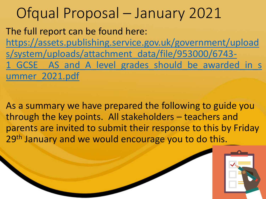## Ofqual Proposal – January 2021

The full report can be found here: https://assets.publishing.service.gov.uk/government/upload s/system/uploads/attachment\_data/file/953000/6743- 1 GCSE AS and A level grades should be awarded in s ummer\_2021.pdf

As a summary we have prepared the following to guide you through the key points. All stakeholders – teachers and parents are invited to submit their response to this by Friday 29<sup>th</sup> January and we would encourage you to do this.

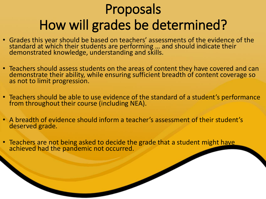## Proposals How will grades be determined?

- Grades this year should be based on teachers' assessments of the evidence of the standard at which their students are performing … and should indicate their demonstrated knowledge, understanding and skills.
- Teachers should assess students on the areas of content they have covered and can demonstrate their ability, while ensuring sufficient breadth of content coverage so as not to limit progression.
- Teachers should be able to use evidence of the standard of a student's performance from throughout their course (including NEA).
- A breadth of evidence should inform a teacher's assessment of their student's deserved grade.
- Teachers are not being asked to decide the grade that a student might have achieved had the pandemic not occurred.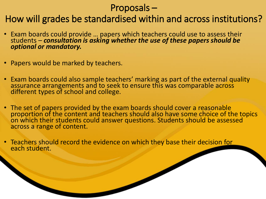### Proposals –

### How will grades be standardised within and across institutions?

- Exam boards could provide … papers which teachers could use to assess their students – *consultation is asking whether the use of these papers should be optional or mandatory.*
- Papers would be marked by teachers.
- Exam boards could also sample teachers' marking as part of the external quality assurance arrangements and to seek to ensure this was comparable across different types of school and college.
- The set of papers provided by the exam boards should cover a reasonable proportion of the content and teachers should also have some choice of the topics on which their students could answer questions. Students should be assessed across a range of content.
- Teachers should record the evidence on which they base their decision for each student.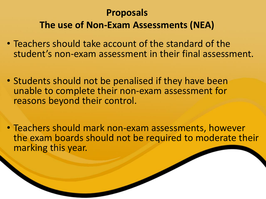## **Proposals The use of Non-Exam Assessments (NEA)**

- Teachers should take account of the standard of the student's non-exam assessment in their final assessment.
- Students should not be penalised if they have been unable to complete their non-exam assessment for reasons beyond their control.
- Teachers should mark non-exam assessments, however the exam boards should not be required to moderate their marking this year.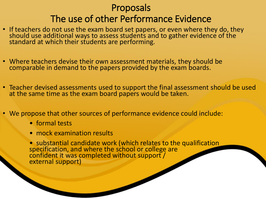## Proposals The use of other Performance Evidence

- If teachers do not use the exam board set papers, or even where they do, they should use additional ways to assess students and to gather evidence of the standard at which their students are performing.
- Where teachers devise their own assessment materials, they should be comparable in demand to the papers provided by the exam boards.
- Teacher devised assessments used to support the final assessment should be used at the same time as the exam board papers would be taken.
- We propose that other sources of performance evidence could include:
	- formal tests
	- mock examination results

• substantial candidate work (which relates to the qualification specification, and where the school or college are confident it was completed without support / external support)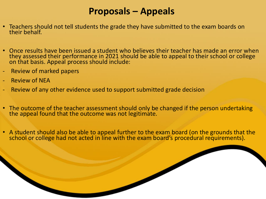### **Proposals – Appeals**

- Teachers should not tell students the grade they have submitted to the exam boards on their behalf.
- Once results have been issued a student who believes their teacher has made an error when they assessed their performance in 2021 should be able to appeal to their school or college on that basis. Appeal process should include:
- Review of marked papers
- Review of NEA
- Review of any other evidence used to support submitted grade decision
- The outcome of the teacher assessment should only be changed if the person undertaking the appeal found that the outcome was not legitimate.
- A student should also be able to appeal further to the exam board (on the grounds that the school or college had not acted in line with the exam board's procedural requirements).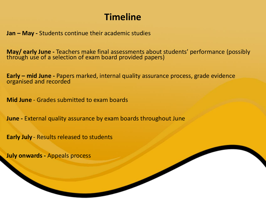## **Timeline**

**Jan – May -** Students continue their academic studies

**May/ early June -** Teachers make final assessments about students' performance (possibly through use of a selection of exam board provided papers)

**Early – mid June -** Papers marked, internal quality assurance process, grade evidence organised and recorded

**Mid June** - Grades submitted to exam boards

**June -** External quality assurance by exam boards throughout June

**Early July** - Results released to students

**July onwards -** Appeals process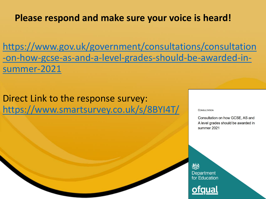### **Please respond and make sure your voice is heard!**

https://www.gov.uk/government/consultations/consultation [-on-how-gcse-as-and-a-level-grades-should-be-awarded-in](https://www.gov.uk/government/consultations/consultation-on-how-gcse-as-and-a-level-grades-should-be-awarded-in-summer-2021)summer-2021

Direct Link to the response survey: <https://www.smartsurvey.co.uk/s/8BYI4T/>

#### **CONSULTATION**

Consultation on how GCSE, AS and A level grades should be awarded in summer 2021

欢欢 Department for Education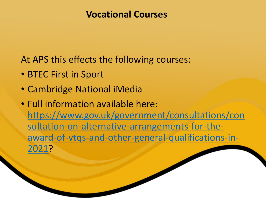### **Vocational Courses**

At APS this effects the following courses:

- BTEC First in Sport
- Cambridge National iMedia
- Full information available here: https://www.gov.uk/government/consultations/con sultation-on-alternative-arrangements-for-the[award-of-vtqs-and-other-general-qualifications-in-](https://www.gov.uk/government/consultations/consultation-on-alternative-arrangements-for-the-award-of-vtqs-and-other-general-qualifications-in-2021)2021?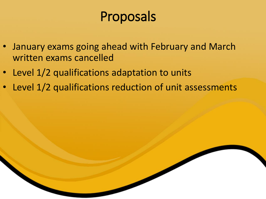## Proposals

- January exams going ahead with February and March written exams cancelled
- Level 1/2 qualifications adaptation to units
- Level 1/2 qualifications reduction of unit assessments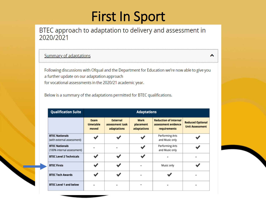## **First In Sport**

#### BTEC approach to adaptation to delivery and assessment in 2020/2021

#### **Summary of adaptations**

Following discussions with Ofqual and the Department for Education we're now able to give you a further update on our adaptation approach for vocational assessments in the 2020/21 academic year.

^

Below is a summary of the adaptations permitted for BTEC qualifications.

| <b>Qualification Suite</b>                          | <b>Adaptations</b>         |                                                   |                                  |                                                                     |                                                   |
|-----------------------------------------------------|----------------------------|---------------------------------------------------|----------------------------------|---------------------------------------------------------------------|---------------------------------------------------|
|                                                     | Exam<br>timetable<br>moved | <b>External</b><br>assessment task<br>adaptations | Work<br>placement<br>adaptations | <b>Reduction of internal</b><br>assessment evidence<br>requirements | <b>Reduced Optional</b><br><b>Unit Assessment</b> |
| <b>BTEC Nationals</b><br>(with external assessment) |                            |                                                   |                                  | Performing Arts<br>and Music only                                   |                                                   |
| <b>BTEC Nationals</b><br>(100% internal assessment) |                            |                                                   |                                  | <b>Performing Arts</b><br>and Music only                            |                                                   |
| <b>BTEC Level 2 Technicals</b>                      | $\overline{\mathcal{L}}$   | J                                                 | ✔                                |                                                                     |                                                   |
| <b>BTEC Firsts</b>                                  | J                          |                                                   |                                  | Music only                                                          | $\overline{\mathcal{L}}$                          |
| <b>BTEC Tech Awards</b>                             |                            |                                                   |                                  |                                                                     |                                                   |
| <b>BTEC Level 1 and below</b>                       |                            |                                                   |                                  |                                                                     |                                                   |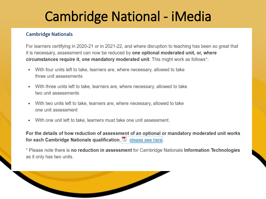## **Cambridge National - iMedia**

#### **Cambridge Nationals**

For learners certifying in 2020-21 or in 2021-22, and where disruption to teaching has been so great that it is necessary, assessment can now be reduced by one optional moderated unit, or, where circumstances require it, one mandatory moderated unit. This might work as follows\*:

- With four units left to take, learners are, where necessary, allowed to take three unit assessments
- With three units left to take, learners are, where necessary, allowed to take two unit assessments
- With two units left to take, learners are, where necessary, allowed to take one unit assessment
- With one unit left to take, learners must take one unit assessment.

For the details of how reduction of assessment of an optional or mandatory moderated unit works for each Cambridge Nationals qualification, **12** please see here.

\* Please note there is no reduction in assessment for Cambridge Nationals Information Technologies as it only has two units.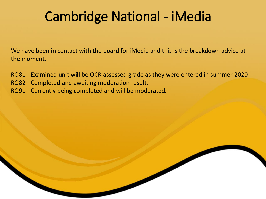## Cambridge National - iMedia

We have been in contact with the board for iMedia and this is the breakdown advice at the moment.

RO81 - Examined unit will be OCR assessed grade as they were entered in summer 2020 RO82 - Completed and awaiting moderation result.

RO91 - Currently being completed and will be moderated.